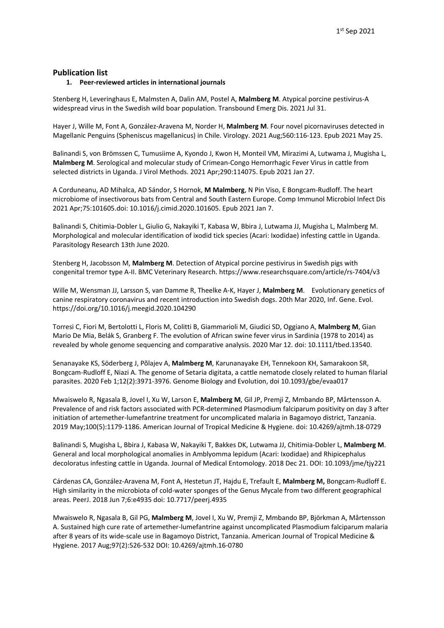## **Publication list**

#### **1. Peer-reviewed articles in international journals**

Stenberg H, Leveringhaus E, Malmsten A, Dalin AM, Postel A, **Malmberg M**. Atypical porcine pestivirus-A widespread virus in the Swedish wild boar population. Transbound Emerg Dis. 2021 Jul 31.

Hayer J, Wille M, Font A, González-Aravena M, Norder H, **Malmberg M**. Four novel picornaviruses detected in Magellanic Penguins (Spheniscus magellanicus) in Chile. Virology. 2021 Aug;560:116-123. Epub 2021 May 25.

Balinandi S, von Brömssen C, Tumusiime A, Kyondo J, Kwon H, Monteil VM, Mirazimi A, Lutwama J, Mugisha L, **Malmberg M**. Serological and molecular study of Crimean-Congo Hemorrhagic Fever Virus in cattle from selected districts in Uganda. J Virol Methods. 2021 Apr;290:114075. Epub 2021 Jan 27.

A Corduneanu, AD Mihalca, AD Sándor, S Hornok, **M Malmberg**, N Pin Viso, E Bongcam-Rudloff. The heart microbiome of insectivorous bats from Central and South Eastern Europe. Comp Immunol Microbiol Infect Dis 2021 Apr;75:101605.doi: 10.1016/j.cimid.2020.101605. Epub 2021 Jan 7.

Balinandi S, Chitimia-Dobler L, Giulio G, Nakayiki T, Kabasa W, Bbira J, Lutwama JJ, Mugisha L, Malmberg M. Morphological and molecular identification of ixodid tick species (Acari: Ixodidae) infesting cattle in Uganda. Parasitology Research 13th June 2020.

Stenberg H, Jacobsson M, **Malmberg M**. Detection of Atypical porcine pestivirus in Swedish pigs with congenital tremor type A-II. BMC Veterinary Research. https://www.researchsquare.com/article/rs-7404/v3

Wille M, Wensman JJ, Larsson S, van Damme R, Theelke A-K, Hayer J, **Malmberg M**. Evolutionary genetics of canine respiratory coronavirus and recent introduction into Swedish dogs. 20th Mar 2020, Inf. Gene. Evol. https://doi.org/10.1016/j.meegid.2020.104290

Torresi C, Fiori M, Bertolotti L, Floris M, Colitti B, Giammarioli M, Giudici SD, Oggiano A, **Malmberg M**, Gian Mario De Mia, Belák S, Granberg F. The evolution of African swine fever virus in Sardinia (1978 to 2014) as revealed by whole genome sequencing and comparative analysis. 2020 Mar 12. doi: 10.1111/tbed.13540.

Senanayake KS, Söderberg J, Põlajev A, **Malmberg M**, Karunanayake EH, Tennekoon KH, Samarakoon SR, Bongcam-Rudloff E, Niazi A. The genome of Setaria digitata, a cattle nematode closely related to human filarial parasites. 2020 Feb 1;12(2):3971-3976. Genome Biology and Evolution, doi 10.1093/gbe/evaa017

Mwaiswelo R, Ngasala B, Jovel I, Xu W, Larson E, **Malmberg M**, Gil JP, Premji Z, Mmbando BP, Mårtensson A. Prevalence of and risk factors associated with PCR-determined Plasmodium falciparum positivity on day 3 after initiation of artemether-lumefantrine treatment for uncomplicated malaria in Bagamoyo district, Tanzania. 2019 May;100(5):1179-1186. American Journal of Tropical Medicine & Hygiene. doi: 10.4269/ajtmh.18-0729

Balinandi S, Mugisha L, Bbira J, Kabasa W, Nakayiki T, Bakkes DK, Lutwama JJ, Chitimia-Dobler L, **Malmberg M**. General and local morphological anomalies in Amblyomma lepidum (Acari: Ixodidae) and Rhipicephalus decoloratus infesting cattle in Uganda. Journal of Medical Entomology. 2018 Dec 21. DOI: 10.1093/jme/tjy221

Cárdenas CA, González-Aravena M, Font A, Hestetun JT, Hajdu E, Trefault E, **Malmberg M,** Bongcam-Rudloff E. High similarity in the microbiota of cold-water sponges of the Genus Mycale from two different geographical areas. PeerJ. 2018 Jun 7;6:e4935 doi: 10.7717/peerj.4935

Mwaiswelo R, Ngasala B, Gil PG, **Malmberg M**, Jovel I, Xu W, Premji Z, Mmbando BP, Björkman A, Mårtensson A. Sustained high cure rate of artemether-lumefantrine against uncomplicated Plasmodium falciparum malaria after 8 years of its wide-scale use in Bagamoyo District, Tanzania. American Journal of Tropical Medicine & Hygiene. 2017 Aug;97(2):526-532 DOI: 10.4269/ajtmh.16-0780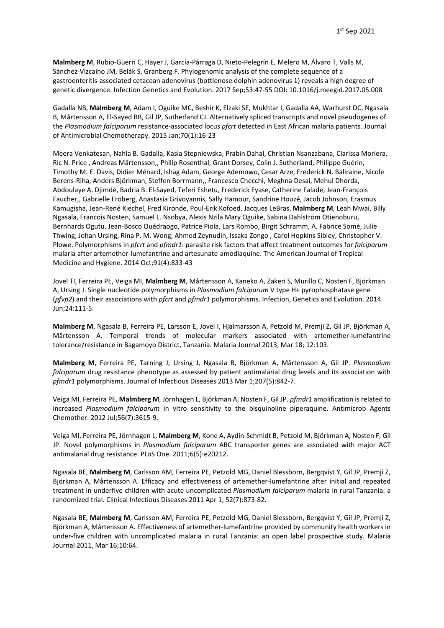**Malmberg M**, Rubio-Guerri C, Hayer J, García-Párraga D, Nieto-Pelegrín E, Melero M, Álvaro T, Valls M, Sánchez-Vizcaíno JM, Belák S, Granberg F. Phylogenomic analysis of the complete sequence of a gastroenteritis-associated cetacean adenovirus (bottlenose dolphin adenovirus 1) reveals a high degree of genetic divergence. Infection Genetics and Evolution. 2017 Sep;53:47-55 DOI: 10.1016/j.meegid.2017.05.008

Gadalla NB, **Malmberg M**, Adam I, Oguike MC, Beshir K, Elzaki SE, Mukhtar I, Gadalla AA, Warhurst DC, Ngasala B, Mårtensson A, El-Sayed BB, Gil JP, Sutherland CJ. Alternatively spliced transcripts and novel pseudogenes of the *Plasmodium falciparum* resistance-associated locus *pfcrt* detected in East African malaria patients. Journal of Antimicrobial Chemotherapy. 2015 Jan;70(1):16-23

Meera Venkatesan, Nahla B. Gadalla, Kasia Stepniewska, Prabin Dahal, Christian Nsanzabana, Clarissa Moriera, Ric N. Price , Andreas Mårtensson,, Philip Rosenthal, Grant Dorsey, Colin J. Sutherland, Philippe Guérin, Timothy M. E. Davis, Didier Ménard, Ishag Adam, George Ademowo, Cesar Arze, Frederick N. Baliraine, Nicole Berens-Riha, Anders Björkman, Steffen Borrmann,, Francesco Checchi, Meghna Desai, Mehul Dhorda, Abdoulaye A. Djimdé, Badria B. El-Sayed, Teferi Eshetu, Frederick Eyase, Catherine Falade, Jean-François Faucher,, Gabrielle Fröberg, Anastasia Grivoyannis, Sally Hamour, Sandrine Houzé, Jacob Johnson, Erasmus Kamugisha, Jean-René Kiechel, Fred Kironde, Poul-Erik Kofoed, Jacques LeBras, **Malmberg M**, Leah Mwai, Billy Ngasala, Francois Nosten, Samuel L. Nsobya, Alexis Nzila Mary Oguike, Sabina Dahlström Otienoburu, Bernhards Ogutu, Jean-Bosco Ouédraogo, Patrice Piola, Lars Rombo, Birgit Schramm, A. Fabrice Somé, Julie Thwing, Johan Ursing, Rina P. M. Wong, Ahmed Zeynudin, Issaka Zongo , Carol Hopkins Sibley, Christopher V. Plowe. Polymorphisms in *pfcrt* and *pfmdr1*: parasite risk factors that affect treatment outcomes for *falciparum* malaria after artemether-lumefantrine and artesunate-amodiaquine. The American Journal of Tropical Medicine and Hygiene. 2014 Oct;91(4):833-43

Jovel TI, Ferreira PE, Veiga MI, **Malmberg M**, Mårtensson A, Kaneko A, Zakeri S, Murillo C, Nosten F, Björkman A, Ursing J. Single nucleotide polymorphisms in *Plasmodium falciparum* V type H+ pyrophosphatase gene (*pfvp2*) and their associations with *pfcrt* and *pfmdr1* polymorphisms. Infection, Genetics and Evolution. 2014 Jun;24:111-5.

**Malmberg M**, Ngasala B, Ferreira PE, Larsson E, Jovel I, Hjalmarsson A, Petzold M, Premji Z, Gil JP, Björkman A, Mårtensson A. Temporal trends of molecular markers associated with artemether-lumefantrine tolerance/resistance in Bagamoyo District, Tanzania. Malaria Journal 2013, Mar 18; 12:103.

**Malmberg M**, Ferreira PE, Tarning J, Ursing J, Ngasala B, Björkman A, Mårtensson A, Gil JP. *Plasmodium falciparum* drug resistance phenotype as assessed by patient antimalarial drug levels and its association with *pfmdr1* polymorphisms. Journal of Infectious Diseases 2013 Mar 1;207(5):842-7.

Veiga MI, Ferreira PE, **Malmberg M**, Jörnhagen L, Björkman A, Nosten F, Gil JP. *pfmdr1* amplification is related to increased *Plasmodium falciparum* in vitro sensitivity to the bisquinoline piperaquine. Antimicrob Agents Chemother. 2012 Jul;56(7):3615-9.

Veiga MI, Ferreira PE, Jörnhagen L, **Malmberg M**, Kone A, Aydin-Schmidt B, Petzold M, Björkman A, Nosten F, Gil JP. Novel polymorphisms in *Plasmodium falciparum* ABC transporter genes are associated with major ACT antimalarial drug resistance. PLoS One. 2011;6(5):e20212.

Ngasala BE, **Malmberg M**, Carlsson AM, Ferreira PE, Petzold MG, Daniel Blessborn, Bergqvist Y, Gil JP, Premji Z, Björkman A, Mårtensson A. Efficacy and effectiveness of artemether-lumefantrine after initial and repeated treatment in underfive children with acute uncomplicated *Plasmodium falciparum* malaria in rural Tanzania: a randomized trial. Clinical Infectious Diseases 2011 Apr 1; 52(7):873-82.

Ngasala BE, **Malmberg M**, Carlsson AM, Ferreira PE, Petzold MG, Daniel Blessborn, Bergqvist Y, Gil JP, Premji Z, Björkman A, Mårtensson A*.* Effectiveness of artemether-lumefantrine provided by community health workers in under-five children with uncomplicated malaria in rural Tanzania: an open label prospective study. Malaria Journal 2011, Mar 16;10:64.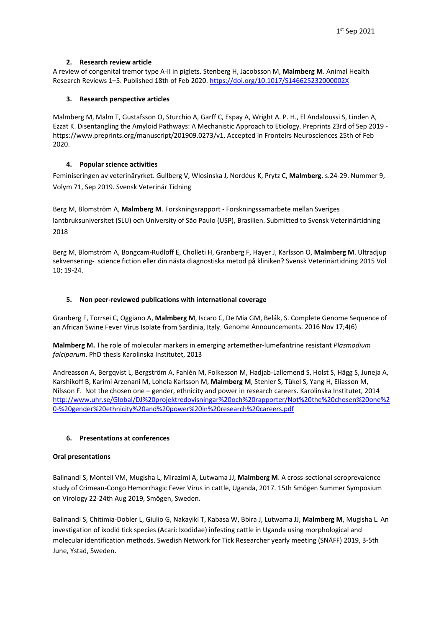# **2. Research review article**

A review of congenital tremor type A-II in piglets. Stenberg H, Jacobsson M, **Malmberg M**. Animal Health Research Reviews 1–5. Published 18th of Feb 2020[. https://doi.org/10.1017/S146625232000002X](https://doi.org/10.1017/S146625232000002X)

# **3. Research perspective articles**

Malmberg M, Malm T, Gustafsson O, Sturchio A, Garff C, Espay A, Wright A. P. H., El Andaloussi S, Linden A, Ezzat K. Disentangling the Amyloid Pathways: A Mechanistic Approach to Etiology. Preprints 23rd of Sep 2019 https://www.preprints.org/manuscript/201909.0273/v1, Accepted in Fronteirs Neurosciences 25th of Feb 2020.

# **4. Popular science activities**

Feminiseringen av veterinäryrket. Gullberg V, Wlosinska J, Nordéus K, Prytz C, **Malmberg.** s.24-29. Nummer 9, Volym 71, Sep 2019. Svensk Veterinär Tidning

Berg M, Blomström A, **Malmberg M**. Forskningsrapport - Forskningssamarbete mellan Sveriges lantbruksuniversitet (SLU) och University of São Paulo (USP), Brasilien. Submitted to Svensk Veterinärtidning 2018

Berg M, Blomström A, Bongcam-Rudloff E, Cholleti H, Granberg F, Hayer J, Karlsson O, **Malmberg M**. Ultradjup sekvensering- science fiction eller din nästa diagnostiska metod på kliniken? Svensk Veterinärtidning 2015 Vol 10; 19-24.

# **5. Non peer-reviewed publications with international coverage**

Granberg F, Torrsei C, Oggiano A, **Malmberg M**, Iscaro C, De Mia GM, Belák, S. Complete Genome Sequence of an African Swine Fever Virus Isolate from Sardinia, Italy. Genome Announcements. 2016 Nov 17;4(6)

**Malmberg M.** The role of molecular markers in emerging artemether-lumefantrine resistant *Plasmodium falciparum*. PhD thesis Karolinska Institutet, 2013

Andreasson A, Bergqvist L, Bergström A, Fahlén M, Folkesson M, Hadjab-Lallemend S, Holst S, Hägg S, Juneja A, Karshikoff B, Karimi Arzenani M, Lohela Karlsson M, **Malmberg M**, Stenler S, Tükel S, Yang H, Eliasson M, Nilsson F. Not the chosen one – gender, ethnicity and power in research careers. Karolinska Institutet, 2014 [http://www.uhr.se/Global/DJ%20projektredovisningar%20och%20rapporter/Not%20the%20chosen%20one%2](http://www.uhr.se/Global/DJ%20projektredovisningar%20och%20rapporter/Not%20the%20chosen%20one%20-%20gender%20ethnicity%20and%20power%20in%20research%20careers.pdf) [0-%20gender%20ethnicity%20and%20power%20in%20research%20careers.pdf](http://www.uhr.se/Global/DJ%20projektredovisningar%20och%20rapporter/Not%20the%20chosen%20one%20-%20gender%20ethnicity%20and%20power%20in%20research%20careers.pdf)

## **6. Presentations at conferences**

## **Oral presentations**

Balinandi S, Monteil VM, Mugisha L, Mirazimi A, Lutwama JJ, **Malmberg M**. A cross-sectional seroprevalence study of Crimean-Congo Hemorrhagic Fever Virus in cattle, Uganda, 2017. 15th Smögen Summer Symposium on Virology 22-24th Aug 2019, Smögen, Sweden.

Balinandi S, Chitimia-Dobler L, Giulio G, Nakayiki T, Kabasa W, Bbira J, Lutwama JJ, **Malmberg M**, Mugisha L. An investigation of ixodid tick species (Acari: Ixodidae) infesting cattle in Uganda using morphological and molecular identification methods. Swedish Network for Tick Researcher yearly meeting (SNÄFF) 2019, 3-5th June, Ystad, Sweden.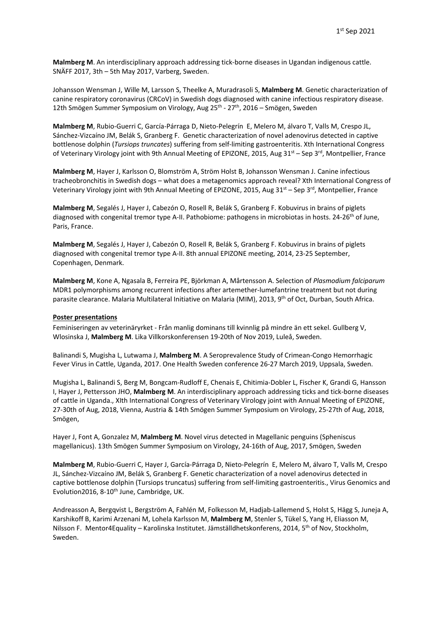**Malmberg M**. An interdisciplinary approach addressing tick-borne diseases in Ugandan indigenous cattle. SNÄFF 2017, 3th – 5th May 2017, Varberg, Sweden.

Johansson Wensman J, Wille M, Larsson S, Theelke A, Muradrasoli S, **Malmberg M**. Genetic characterization of canine respiratory coronavirus (CRCoV) in Swedish dogs diagnosed with canine infectious respiratory disease. 12th Smögen Summer Symposium on Virology, Aug 25<sup>th</sup> - 27<sup>th</sup>, 2016 – Smögen, Sweden

**Malmberg M**, Rubio-Guerri C, García-Párraga D, Nieto-Pelegrín E, Melero M, álvaro T, Valls M, Crespo JL, Sánchez-Vizcaíno JM, Belák S, Granberg F. Genetic characterization of novel adenovirus detected in captive bottlenose dolphin (*Tursiops truncates*) suffering from self-limiting gastroenteritis. Xth International Congress of Veterinary Virology joint with 9th Annual Meeting of EPIZONE, 2015, Aug 31<sup>st</sup> – Sep 3<sup>rd</sup>, Montpellier, France

**Malmberg M**, Hayer J, Karlsson O, Blomström A, Ström Holst B, Johansson Wensman J. Canine infectious tracheobronchitis in Swedish dogs – what does a metagenomics approach reveal? Xth International Congress of Veterinary Virology joint with 9th Annual Meeting of EPIZONE, 2015, Aug 31<sup>st</sup> – Sep 3<sup>rd</sup>, Montpellier, France

**Malmberg M**, Segalés J, Hayer J, Cabezón O, Rosell R, Belák S, Granberg F. Kobuvirus in brains of piglets diagnosed with congenital tremor type A-II. Pathobiome: pathogens in microbiotas in hosts. 24-26<sup>th</sup> of June, Paris, France.

**Malmberg M**, Segalés J, Hayer J, Cabezón O, Rosell R, Belák S, Granberg F. Kobuvirus in brains of piglets diagnosed with congenital tremor type A-II. 8th annual EPIZONE meeting, 2014, 23-25 September, Copenhagen, Denmark.

**Malmberg M**, Kone A, Ngasala B, Ferreira PE, Björkman A, Mårtensson A. Selection of *Plasmodium falciparum* MDR1 polymorphisms among recurrent infections after artemether-lumefantrine treatment but not during parasite clearance. Malaria Multilateral Initiative on Malaria (MIM), 2013, 9th of Oct, Durban, South Africa.

#### **Poster presentations**

Feminiseringen av veterinäryrket - Från manlig dominans till kvinnlig på mindre än ett sekel. Gullberg V, Wlosinska J, **Malmberg M**. Lika Villkorskonferensen 19-20th of Nov 2019, Luleå, Sweden.

Balinandi S, Mugisha L, Lutwama J, **Malmberg M**. A Seroprevalence Study of Crimean-Congo Hemorrhagic Fever Virus in Cattle, Uganda, 2017. One Health Sweden conference 26-27 March 2019, Uppsala, Sweden.

Mugisha L, Balinandi S, Berg M, Bongcam-Rudloff E, Chenais E, Chitimia-Dobler L, Fischer K, Grandi G, Hansson I, Hayer J, Pettersson JHO, **Malmberg M**. An interdisciplinary approach addressing ticks and tick-borne diseases of cattle in Uganda., XIth International Congress of Veterinary Virology joint with Annual Meeting of EPIZONE, 27-30th of Aug, 2018, Vienna, Austria & 14th Smögen Summer Symposium on Virology, 25-27th of Aug, 2018, Smögen,

Hayer J, Font A, Gonzalez M, **Malmberg M**. Novel virus detected in Magellanic penguins (Spheniscus magellanicus). 13th Smögen Summer Symposium on Virology, 24-16th of Aug, 2017, Smögen, Sweden

**Malmberg M**, Rubio-Guerri C, Hayer J, García-Párraga D, Nieto-Pelegrín E, Melero M, álvaro T, Valls M, Crespo JL, Sánchez-Vizcaíno JM, Belák S, Granberg F. Genetic characterization of a novel adenovirus detected in captive bottlenose dolphin (Tursiops truncatus) suffering from self-limiting gastroenteritis., Virus Genomics and Evolution2016, 8-10<sup>th</sup> June, Cambridge, UK.

Andreasson A, Bergqvist L, Bergström A, Fahlén M, Folkesson M, Hadjab-Lallemend S, Holst S, Hägg S, Juneja A, Karshikoff B, Karimi Arzenani M, Lohela Karlsson M, **Malmberg M**, Stenler S, Tükel S, Yang H, Eliasson M, Nilsson F. Mentor4Equality – Karolinska Institutet. Jämställdhetskonferens, 2014, 5<sup>th</sup> of Nov, Stockholm, Sweden.